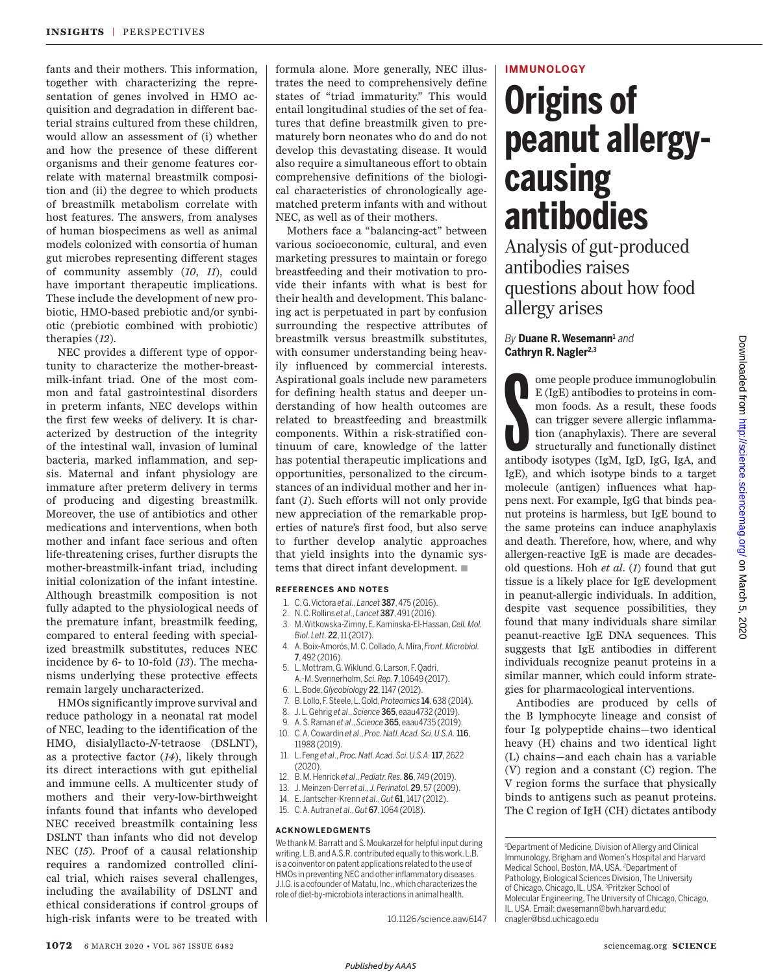fants and their mothers. This information, together with characterizing the representation of genes involved in HMO acquisition and degradation in different bacterial strains cultured from these children, would allow an assessment of (i) whether and how the presence of these different organisms and their genome features correlate with maternal breastmilk composition and (ii) the degree to which products of breastmilk metabolism correlate with host features. The answers, from analyses of human biospecimens as well as animal models colonized with consortia of human gut microbes representing different stages of community assembly (*10*, *11*), could have important therapeutic implications. These include the development of new probiotic, HMO-based prebiotic and/or synbiotic (prebiotic combined with probiotic) therapies (*12*).

NEC provides a different type of opportunity to characterize the mother-breastmilk-infant triad. One of the most common and fatal gastrointestinal disorders in preterm infants, NEC develops within the first few weeks of delivery. It is characterized by destruction of the integrity of the intestinal wall, invasion of luminal bacteria, marked inflammation, and sepsis. Maternal and infant physiology are immature after preterm delivery in terms of producing and digesting breastmilk. Moreover, the use of antibiotics and other medications and interventions, when both mother and infant face serious and often life-threatening crises, further disrupts the mother-breastmilk-infant triad, including initial colonization of the infant intestine. Although breastmilk composition is not fully adapted to the physiological needs of the premature infant, breastmilk feeding, compared to enteral feeding with specialized breastmilk substitutes, reduces NEC incidence by 6- to 10-fold (*13*). The mechanisms underlying these protective effects remain largely uncharacterized.

HMOs significantly improve survival and reduce pathology in a neonatal rat model of NEC, leading to the identification of the HMO, disialyllacto-*N*-tetraose (DSLNT), as a protective factor (*14*), likely through its direct interactions with gut epithelial and immune cells. A multicenter study of mothers and their very-low-birthweight infants found that infants who developed NEC received breastmilk containing less DSLNT than infants who did not develop NEC (*15*). Proof of a causal relationship requires a randomized controlled clinical trial, which raises several challenges, including the availability of DSLNT and ethical considerations if control groups of high-risk infants were to be treated with formula alone. More generally, NEC illustrates the need to comprehensively define states of "triad immaturity." This would entail longitudinal studies of the set of features that define breastmilk given to prematurely born neonates who do and do not develop this devastating disease. It would also require a simultaneous effort to obtain comprehensive definitions of the biological characteristics of chronologically agematched preterm infants with and without NEC, as well as of their mothers.

Mothers face a "balancing-act" between various socioeconomic, cultural, and even marketing pressures to maintain or forego breastfeeding and their motivation to provide their infants with what is best for their health and development. This balancing act is perpetuated in part by confusion surrounding the respective attributes of breastmilk versus breastmilk substitutes, with consumer understanding being heavily influenced by commercial interests. Aspirational goals include new parameters for defining health status and deeper understanding of how health outcomes are related to breastfeeding and breastmilk components. Within a risk-stratified continuum of care, knowledge of the latter has potential therapeutic implications and opportunities, personalized to the circumstances of an individual mother and her infant (*1*). Such efforts will not only provide new appreciation of the remarkable properties of nature's first food, but also serve to further develop analytic approaches that yield insights into the dynamic systems that direct infant development.  $\blacksquare$ 

#### **REFERENCES AND NOTES**

- 1. C. G. Victora *et al*., *Lancet* 387, 475 (2016).
- 2. N. C. Rollins *et al*., *Lancet* 387, 491 (2016).
- 3. M. Witkowska-Zimny, E. Kaminska-El-Hassan, *Cell. Mol. Biol. Lett.* 22, 11 (2017).
- 4. A. Boix-Amorós, M. C. Collado, A. Mira, *Front. Microbiol.* 7, 492 (2016).
- 5. L. Mottram, G. Wiklund, G. Larson, F. Qadri, A.-M. Svennerholm, *Sci. Rep.* 7, 10649 (2017).
- 6. L. Bode, *Glycobiology* 22, 1147 (2012).
- 7. B. Lollo, F. Steele, L. Gold, *Proteomics* 14, 638 (2014).
- 8. J. L. Gehrig *et al*., *Science* 365, eaau4732 (2019).
- 9. A. S. Raman *et al*., *Science* 365, eaau4735 (2019).
- 10. C. A. Cowardin *et al*., *Proc. Natl. Acad. Sci. U.S.A.*116, 11988 (2019).
- 11. L. Feng *et al*., *Proc. Natl. Acad. Sci. U.S.A.*117, 2622 (2020).
- 12. B. M. Henrick *et al*., *Pediatr. Res.* 86, 749 (2019).
- 13. J. Meinzen-Derr *et al*., *J. Perinatol.* 29, 57 (2009).
- 14. E. Jantscher-Krenn *et al*., *Gut* 61, 1417 (2012).
- 15. C. A. Autran *et al*., *Gut* 67, 1064 (2018).

#### **ACKNOWLEDGMENTS**

We thank M. Barratt and S. Moukarzel for helpful input during writing. L.B. and A.S.R. contributed equally to this work. L.B. is a coinventor on patent applications related to the use of HMOs in preventing NEC and other inflammatory diseases. J.I.G. is a cofounder of Matatu, Inc., which characterizes the role of diet-by-microbiota interactions in animal health.

10.1126/science.aaw6147

# **IMMUNOLOGY**

# **Origins of peanut allergycausing antibodies**

Analysis of gut-produced antibodies raises questions about how food allergy arises

## *By* **Duane R. Wesemann<sup>1</sup>** *and* **Cathryn R. Nagler2,3**

ome people produce immunoglobulin<br>
E (IgE) antibodies to proteins in common foods. As a result, these foods<br>
can trigger severe allergic inflamma-<br>
tion (anaphylaxis). There are several<br>
structurally and functionally disti ome people produce immunoglobulin E (IgE) antibodies to proteins in common foods. As a result, these foods can trigger severe allergic inflammation (anaphylaxis). There are several structurally and functionally distinct IgE), and which isotype binds to a target molecule (antigen) influences what happens next. For example, IgG that binds peanut proteins is harmless, but IgE bound to the same proteins can induce anaphylaxis and death. Therefore, how, where, and why allergen-reactive IgE is made are decadesold questions. Hoh *et al*. (*1*) found that gut tissue is a likely place for IgE development in peanut-allergic individuals. In addition, despite vast sequence possibilities, they found that many individuals share similar peanut-reactive IgE DNA sequences. This suggests that IgE antibodies in different individuals recognize peanut proteins in a similar manner, which could inform strategies for pharmacological interventions.

Antibodies are produced by cells of the B lymphocyte lineage and consist of four Ig polypeptide chains—two identical heavy (H) chains and two identical light (L) chains—and each chain has a variable (V) region and a constant (C) region. The V region forms the surface that physically binds to antigens such as peanut proteins. The C region of IgH (CH) dictates antibody

<sup>&</sup>lt;sup>1</sup>Department of Medicine, Division of Allergy and Clinical Immunology, Brigham and Women's Hospital and Harvard Medical School, Boston, MA, USA. <sup>2</sup>Department of Pathology, Biological Sciences Division, The University of Chicago, Chicago, IL, USA. <sup>3</sup>Pritzker School of Molecular Engineering, The University of Chicago, Chicago, IL, USA. Email: dwesemann@bwh.harvard.edu; cnagler@bsd.uchicago.edu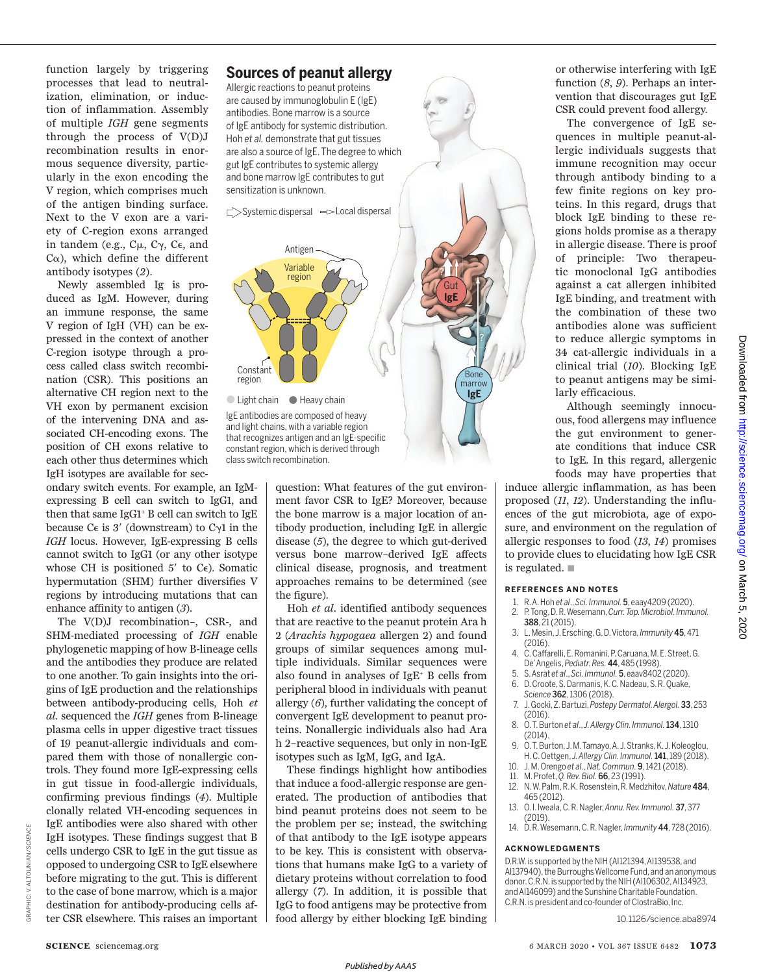function largely by triggering processes that lead to neutralization, elimination, or induction of inflammation. Assembly of multiple *IGH* gene segments through the process of V(D)J recombination results in enormous sequence diversity, particularly in the exon encoding the V region, which comprises much of the antigen binding surface. Next to the V exon are a variety of C-region exons arranged in tandem (e.g.,  $C_{\mu}$ ,  $C_{\gamma}$ ,  $C_{\epsilon}$ , and  $C\alpha$ ), which define the different antibody isotypes (*2*).

Newly assembled Ig is produced as IgM. However, during an immune response, the same V region of IgH (VH) can be expressed in the context of another C-region isotype through a process called class switch recombination (CSR). This positions an alternative CH region next to the VH exon by permanent excision of the intervening DNA and associated CH-encoding exons. The position of CH exons relative to each other thus determines which IgH isotypes are available for sec-

ondary switch events. For example, an IgMexpressing B cell can switch to IgG1, and then that same IgG1<sup>+</sup> B cell can switch to IgE because  $C \in i s$  3' (downstream) to  $C \gamma 1$  in the *IGH* locus. However, IgE-expressing B cells cannot switch to IgG1 (or any other isotype whose CH is positioned 5' to  $C_{\epsilon}$ ). Somatic hypermutation (SHM) further diversifies V regions by introducing mutations that can enhance affinity to antigen (*3*).

The V(D)J recombination–, CSR-, and SHM-mediated processing of *IGH* enable phylogenetic mapping of how B-lineage cells and the antibodies they produce are related to one another. To gain insights into the origins of IgE production and the relationships between antibody-producing cells, Hoh *et al*. sequenced the *IGH* genes from B-lineage plasma cells in upper digestive tract tissues of 19 peanut-allergic individuals and compared them with those of nonallergic controls. They found more IgE-expressing cells in gut tissue in food-allergic individuals, confirming previous findings (*4*). Multiple clonally related VH-encoding sequences in IgE antibodies were also shared with other IgH isotypes. These findings suggest that B cells undergo CSR to IgE in the gut tissue as opposed to undergoing CSR to IgE elsewhere before migrating to the gut. This is different to the case of bone marrow, which is a major destination for antibody-producing cells after CSR elsewhere. This raises an important

# **Sources of peanut allergy**

Allergic reactions to peanut proteins are caused by immunoglobulin E (IgE) antibodies. Bone marrow is a source of IgE antibody for systemic distribution. Hoh *et al.* demonstrate that gut tissues are also a source of IgE. The degree to which gut IgE contributes to systemic allergy and bone marrow IgE contributes to gut sensitization is unknown.

C>Systemic dispersal =>Local dispersal



and light chains, with a variable region that recognizes antigen and an IgE-specific constant region, which is derived through class switch recombination.

> question: What features of the gut environment favor CSR to IgE? Moreover, because the bone marrow is a major location of antibody production, including IgE in allergic disease (*5*), the degree to which gut-derived versus bone marrow–derived IgE affects clinical disease, prognosis, and treatment approaches remains to be determined (see the figure).

**IgE**

Bone marrow

**IgE** Gut

?

Hoh *et al*. identified antibody sequences that are reactive to the peanut protein Ara h 2 (*Arachis hypogaea* allergen 2) and found groups of similar sequences among multiple individuals. Similar sequences were also found in analyses of IgE<sup>+</sup> B cells from peripheral blood in individuals with peanut allergy (*6*), further validating the concept of convergent IgE development to peanut proteins. Nonallergic individuals also had Ara h 2–reactive sequences, but only in non-IgE isotypes such as IgM, IgG, and IgA.

These findings highlight how antibodies that induce a food-allergic response are generated. The production of antibodies that bind peanut proteins does not seem to be the problem per se; instead, the switching of that antibody to the IgE isotype appears to be key. This is consistent with observations that humans make IgG to a variety of dietary proteins without correlation to food allergy (*7*). In addition, it is possible that IgG to food antigens may be protective from food allergy by either blocking IgE binding or otherwise interfering with IgE function (*8*, *9*). Perhaps an intervention that discourages gut IgE CSR could prevent food allergy.

The convergence of IgE sequences in multiple peanut-allergic individuals suggests that immune recognition may occur through antibody binding to a few finite regions on key proteins. In this regard, drugs that block IgE binding to these regions holds promise as a therapy in allergic disease. There is proof of principle: Two therapeutic monoclonal IgG antibodies against a cat allergen inhibited IgE binding, and treatment with the combination of these two antibodies alone was sufficient to reduce allergic symptoms in 34 cat-allergic individuals in a clinical trial (*10*). Blocking IgE to peanut antigens may be similarly efficacious.

Although seemingly innocuous, food allergens may influence the gut environment to generate conditions that induce CSR to IgE. In this regard, allergenic foods may have properties that

induce allergic inflammation, as has been proposed (*11*, *12*). Understanding the influences of the gut microbiota, age of exposure, and environment on the regulation of allergic responses to food (*13*, *14*) promises to provide clues to elucidating how IgE CSR is regulated.  $\blacksquare$ 

### **REFERENCES AND NOTES**

- 1. R. A. Hoh *et al*., *Sci. Immunol.* 5, eaay4209 (2020). 2. P. Tong, D. R. Wesemann, *Curr. Top. Microbiol. Immunol.*
- 388, 21 (2015). 3. L. Mesin, J. Ersching, G. D. Victora, *Immunity* 45, 471 (2016).
- 4. C. Caffarelli, E. Romanini, P. Caruana, M. E. Street, G. De' Angelis, *Pediatr. Res.* 44, 485 (1998).
- 5. S. Asrat *et al*., *Sci. Immunol.* 5, eaav8402 (2020).
- 6. D. Croote, S. Darmanis, K. C. Nadeau, S. R. Quake, *Science* 362, 1306 (2018).
- 7. J. Gocki, Z. Bartuzi, *Postepy Dermatol. Alergol.* 33, 253 (2016).
- 8. O. T. Burton *et al*., *J. Allergy Clin. Immunol.*134, 1310 (2014).
- 9. O. T. Burton, J. M. Tamayo, A. J. Stranks, K. J. Koleoglou, H. C. Oettgen, *J. Allergy Clin. Immunol.*141, 189 (2018).
- 10. J. M. Orengo *et al*., *Nat. Commun.* 9, 1421 (2018).
- 11. M. Profet, *Q. Rev. Biol.* 66, 23 (1991).
- 12. N. W. Palm, R. K. Rosenstein, R. Medzhitov, *Nature* 484, 465 (2012).
- 13. O. I. Iweala, C. R. Nagler, *Annu. Rev. Immunol.* 37, 377 (2019).
- 14. D. R. Wesemann, C. R. Nagler, *Immunity* 44, 728 (2016).

## **ACKNOWLEDGMENTS**

D.R.W. is supported by the NIH (AI121394, AI139538, and AI137940), the Burroughs Wellcome Fund, and an anonymous donor. C.R.N. is supported by the NIH (AI106302, AI134923, and AI146099) and the Sunshine Charitable Foundation. C.R.N. is president and co-founder of ClostraBio, Inc.

10.1126/science.aba8974